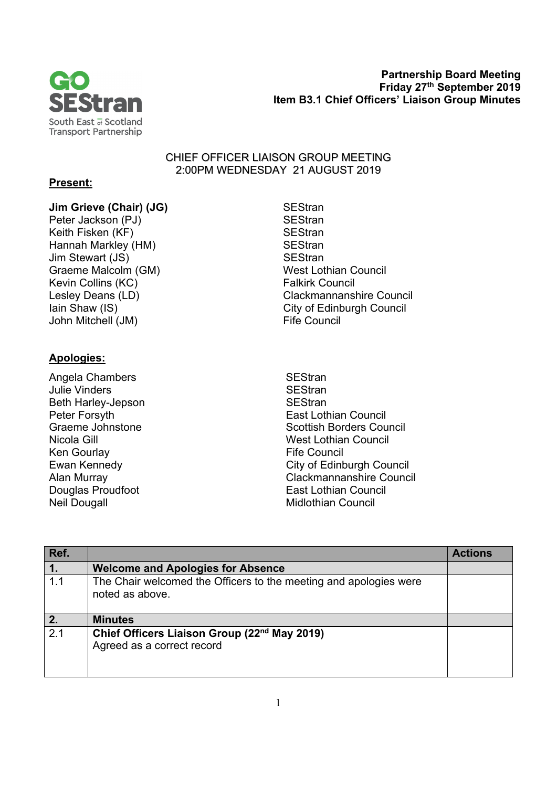

 **Partnership Board Meeting Friday 27th September 2019 Item B3.1 Chief Officers' Liaison Group Minutes** 

## CHIEF OFFICER LIAISON GROUP MEETING 2:00PM WEDNESDAY 21 AUGUST 2019

## **Present:**

## **Jim Grieve (Chair) (JG)** SEStran

Peter Jackson (PJ) SEStran Keith Fisken (KF) SEStran Hannah Markley (HM) SEStran Jim Stewart (JS) SEStran Graeme Malcolm (GM) West Lothian Council<br>
Kevin Collins (KC) Kevin Council<br>
Kevin Collins (KC) Kevin Collins (KC) John Mitchell (JM) **Fife Council** 

## **Apologies:**

- Angela Chambers **SEStran** Julie Vinders **SEStran** Beth Harley-Jepson SEStran Ken Gourlay **Fife Council** Neil Dougall **Midlothian Council** Midlothian Council
- Lesley Deans (LD) Clackmannanshire Council Iain Shaw (IS) **City of Edinburgh Council**
- Peter Forsyth **East Lothian Council**<br>Graeme Johnstone **East Lothian Council**<br>Scottish Borders Cou Scottish Borders Council Nicola Gill West Lothian Council Ewan Kennedy **City of Edinburgh Council** Alan Murray Clackmannanshire Council Douglas Proudfoot **East Lothian Council**

| Ref.             |                                                                                        | <b>Actions</b> |
|------------------|----------------------------------------------------------------------------------------|----------------|
| $\overline{1}$ . | <b>Welcome and Apologies for Absence</b>                                               |                |
| 1.1              | The Chair welcomed the Officers to the meeting and apologies were<br>noted as above.   |                |
| $\overline{2}$ . | <b>Minutes</b>                                                                         |                |
| 2.1              | Chief Officers Liaison Group (22 <sup>nd</sup> May 2019)<br>Agreed as a correct record |                |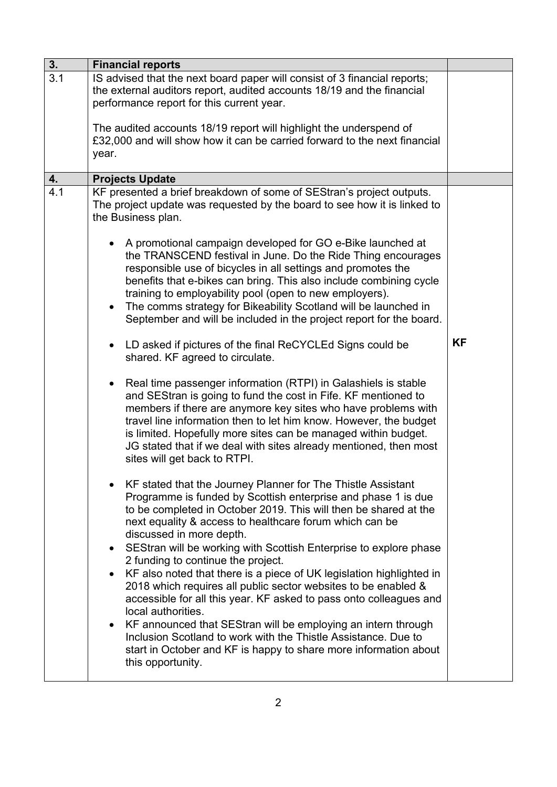| 3.               | <b>Financial reports</b>                                                                                                                                                                                                                                                                                                                                                                                                                                                                                                                                                                                                                                                                                                                                                                                                                                                                                                                                                                                                                                                                                                                                                                                                                                                                                                                                                                                                                                                                                                                                                                                                                                                                                                                                                                                                                                                                                                                                                                                                                                                                                              |           |
|------------------|-----------------------------------------------------------------------------------------------------------------------------------------------------------------------------------------------------------------------------------------------------------------------------------------------------------------------------------------------------------------------------------------------------------------------------------------------------------------------------------------------------------------------------------------------------------------------------------------------------------------------------------------------------------------------------------------------------------------------------------------------------------------------------------------------------------------------------------------------------------------------------------------------------------------------------------------------------------------------------------------------------------------------------------------------------------------------------------------------------------------------------------------------------------------------------------------------------------------------------------------------------------------------------------------------------------------------------------------------------------------------------------------------------------------------------------------------------------------------------------------------------------------------------------------------------------------------------------------------------------------------------------------------------------------------------------------------------------------------------------------------------------------------------------------------------------------------------------------------------------------------------------------------------------------------------------------------------------------------------------------------------------------------------------------------------------------------------------------------------------------------|-----------|
| $\overline{3}.1$ | IS advised that the next board paper will consist of 3 financial reports;<br>the external auditors report, audited accounts 18/19 and the financial<br>performance report for this current year.                                                                                                                                                                                                                                                                                                                                                                                                                                                                                                                                                                                                                                                                                                                                                                                                                                                                                                                                                                                                                                                                                                                                                                                                                                                                                                                                                                                                                                                                                                                                                                                                                                                                                                                                                                                                                                                                                                                      |           |
|                  | The audited accounts 18/19 report will highlight the underspend of<br>£32,000 and will show how it can be carried forward to the next financial<br>year.                                                                                                                                                                                                                                                                                                                                                                                                                                                                                                                                                                                                                                                                                                                                                                                                                                                                                                                                                                                                                                                                                                                                                                                                                                                                                                                                                                                                                                                                                                                                                                                                                                                                                                                                                                                                                                                                                                                                                              |           |
| 4.               |                                                                                                                                                                                                                                                                                                                                                                                                                                                                                                                                                                                                                                                                                                                                                                                                                                                                                                                                                                                                                                                                                                                                                                                                                                                                                                                                                                                                                                                                                                                                                                                                                                                                                                                                                                                                                                                                                                                                                                                                                                                                                                                       |           |
| 4.1              | <b>Projects Update</b><br>KF presented a brief breakdown of some of SEStran's project outputs.<br>The project update was requested by the board to see how it is linked to<br>the Business plan.<br>A promotional campaign developed for GO e-Bike launched at<br>the TRANSCEND festival in June. Do the Ride Thing encourages<br>responsible use of bicycles in all settings and promotes the<br>benefits that e-bikes can bring. This also include combining cycle<br>training to employability pool (open to new employers).<br>The comms strategy for Bikeability Scotland will be launched in<br>September and will be included in the project report for the board.<br>LD asked if pictures of the final ReCYCLEd Signs could be<br>shared. KF agreed to circulate.<br>Real time passenger information (RTPI) in Galashiels is stable<br>$\bullet$<br>and SEStran is going to fund the cost in Fife. KF mentioned to<br>members if there are anymore key sites who have problems with<br>travel line information then to let him know. However, the budget<br>is limited. Hopefully more sites can be managed within budget.<br>JG stated that if we deal with sites already mentioned, then most<br>sites will get back to RTPI.<br>KF stated that the Journey Planner for The Thistle Assistant<br>Programme is funded by Scottish enterprise and phase 1 is due<br>to be completed in October 2019. This will then be shared at the<br>next equality & access to healthcare forum which can be<br>discussed in more depth.<br>SEStran will be working with Scottish Enterprise to explore phase<br>2 funding to continue the project.<br>KF also noted that there is a piece of UK legislation highlighted in<br>$\bullet$<br>2018 which requires all public sector websites to be enabled &<br>accessible for all this year. KF asked to pass onto colleagues and<br>local authorities.<br>KF announced that SEStran will be employing an intern through<br>$\bullet$<br>Inclusion Scotland to work with the Thistle Assistance. Due to<br>start in October and KF is happy to share more information about | <b>KF</b> |
|                  | this opportunity.                                                                                                                                                                                                                                                                                                                                                                                                                                                                                                                                                                                                                                                                                                                                                                                                                                                                                                                                                                                                                                                                                                                                                                                                                                                                                                                                                                                                                                                                                                                                                                                                                                                                                                                                                                                                                                                                                                                                                                                                                                                                                                     |           |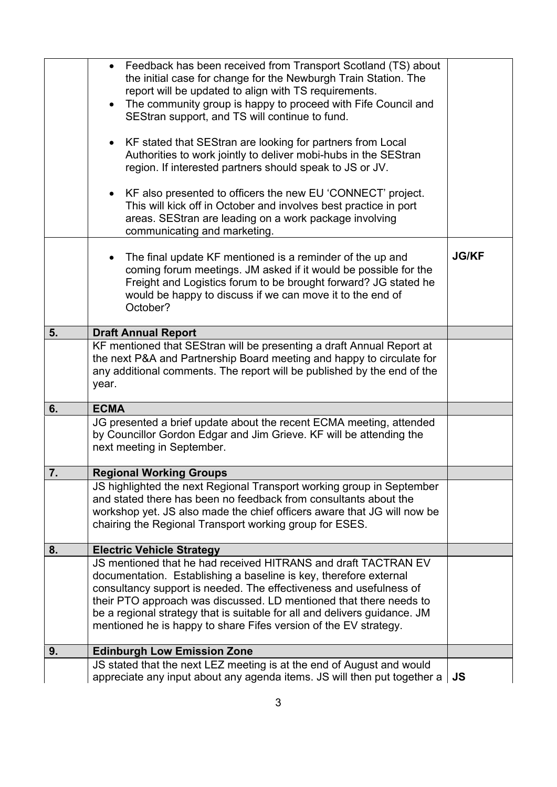|                  | • Feedback has been received from Transport Scotland (TS) about<br>the initial case for change for the Newburgh Train Station. The<br>report will be updated to align with TS requirements.<br>The community group is happy to proceed with Fife Council and<br>$\bullet$<br>SEStran support, and TS will continue to fund.<br>KF stated that SEStran are looking for partners from Local<br>Authorities to work jointly to deliver mobi-hubs in the SEStran<br>region. If interested partners should speak to JS or JV.<br>• KF also presented to officers the new EU 'CONNECT' project.<br>This will kick off in October and involves best practice in port<br>areas. SEStran are leading on a work package involving<br>communicating and marketing. |              |
|------------------|---------------------------------------------------------------------------------------------------------------------------------------------------------------------------------------------------------------------------------------------------------------------------------------------------------------------------------------------------------------------------------------------------------------------------------------------------------------------------------------------------------------------------------------------------------------------------------------------------------------------------------------------------------------------------------------------------------------------------------------------------------|--------------|
|                  | The final update KF mentioned is a reminder of the up and<br>coming forum meetings. JM asked if it would be possible for the<br>Freight and Logistics forum to be brought forward? JG stated he<br>would be happy to discuss if we can move it to the end of<br>October?                                                                                                                                                                                                                                                                                                                                                                                                                                                                                | <b>JG/KF</b> |
| 5.               | <b>Draft Annual Report</b>                                                                                                                                                                                                                                                                                                                                                                                                                                                                                                                                                                                                                                                                                                                              |              |
|                  | KF mentioned that SEStran will be presenting a draft Annual Report at<br>the next P&A and Partnership Board meeting and happy to circulate for<br>any additional comments. The report will be published by the end of the<br>year.                                                                                                                                                                                                                                                                                                                                                                                                                                                                                                                      |              |
| 6.               | <b>ECMA</b>                                                                                                                                                                                                                                                                                                                                                                                                                                                                                                                                                                                                                                                                                                                                             |              |
|                  | JG presented a brief update about the recent ECMA meeting, attended<br>by Councillor Gordon Edgar and Jim Grieve. KF will be attending the<br>next meeting in September.                                                                                                                                                                                                                                                                                                                                                                                                                                                                                                                                                                                |              |
| $\overline{7}$ . | <b>Regional Working Groups</b>                                                                                                                                                                                                                                                                                                                                                                                                                                                                                                                                                                                                                                                                                                                          |              |
|                  | JS highlighted the next Regional Transport working group in September<br>and stated there has been no feedback from consultants about the<br>workshop yet. JS also made the chief officers aware that JG will now be<br>chairing the Regional Transport working group for ESES.                                                                                                                                                                                                                                                                                                                                                                                                                                                                         |              |
| 8.               | <b>Electric Vehicle Strategy</b>                                                                                                                                                                                                                                                                                                                                                                                                                                                                                                                                                                                                                                                                                                                        |              |
|                  | JS mentioned that he had received HITRANS and draft TACTRAN EV<br>documentation. Establishing a baseline is key, therefore external<br>consultancy support is needed. The effectiveness and usefulness of<br>their PTO approach was discussed. LD mentioned that there needs to<br>be a regional strategy that is suitable for all and delivers guidance. JM<br>mentioned he is happy to share Fifes version of the EV strategy.                                                                                                                                                                                                                                                                                                                        |              |
| 9.               | <b>Edinburgh Low Emission Zone</b>                                                                                                                                                                                                                                                                                                                                                                                                                                                                                                                                                                                                                                                                                                                      |              |
|                  | JS stated that the next LEZ meeting is at the end of August and would<br>appreciate any input about any agenda items. JS will then put together a                                                                                                                                                                                                                                                                                                                                                                                                                                                                                                                                                                                                       | <b>JS</b>    |